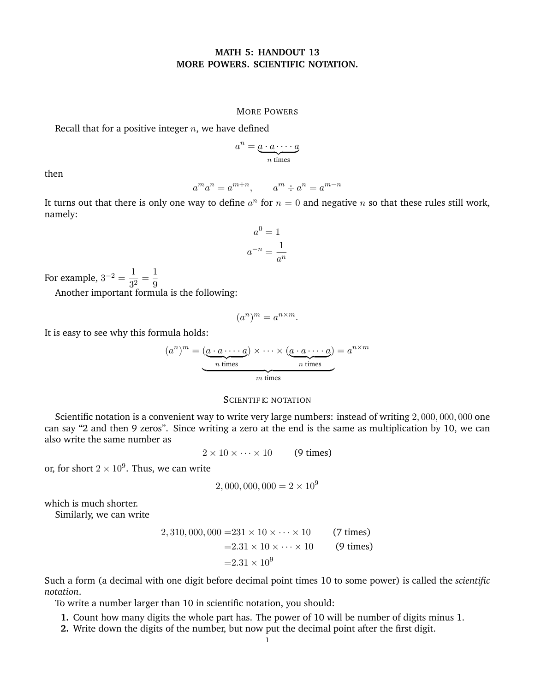## **MATH 5: HANDOUT 13 MORE POWERS. SCIENTIFIC NOTATION.**

### MORE POWERS

Recall that for a positive integer *n*, we have defined

 $a^n = \underbrace{a \cdot a \cdots a}_{n \text{ times}}$ 

then

$$
a^m a^n = a^{m+n}, \qquad a^m \div a^n = a^{m-n}
$$

It turns out that there is only one way to define  $a^n$  for  $n = 0$  and negative *n* so that these rules still work, namely:

$$
a^{0} = 1
$$

$$
a^{-n} = \frac{1}{a^{n}}
$$

For example,  $3^{-2} = \frac{1}{3^2} = \frac{1}{9}$ 

Another important formula is the following:

$$
(a^n)^m = a^{n \times m}.
$$

It is easy to see why this formula holds:

$$
(a^n)^m = \underbrace{(a \cdot a \cdots a)}_{n \text{ times}} \times \cdots \times \underbrace{(a \cdot a \cdots a)}_{n \text{ times}} = a^{n \times m}
$$

### SCIENTIFIC NOTATION

Scientific notation is a convenient way to write very large numbers: instead of writing 2*,* 000*,* 000*,* 000 one can say "2 and then 9 zeros". Since writing a zero at the end is the same as multiplication by 10, we can also write the same number as

 $2 \times 10 \times \cdots \times 10$  (9 times)

or, for short  $2 \times 10^9$ . Thus, we can write

$$
2,000,000,000 = 2 \times 10^9
$$

which is much shorter.

Similarly, we can write

2*,* 310*,* 000*,* 000 =231 × 10 × *· · ·* × 10 (7 times) =2*.*31 × 10 × *· · ·* × 10 (9 times) =2*.*<sup>31</sup> <sup>×</sup> <sup>10</sup><sup>9</sup>

Such a form (a decimal with one digit before decimal point times 10 to some power) is called the *scientific notation*.

To write a number larger than 10 in scientific notation, you should:

- **1.** Count how many digits the whole part has. The power of 10 will be number of digits minus 1.
- **2.** Write down the digits of the number, but now put the decimal point after the first digit.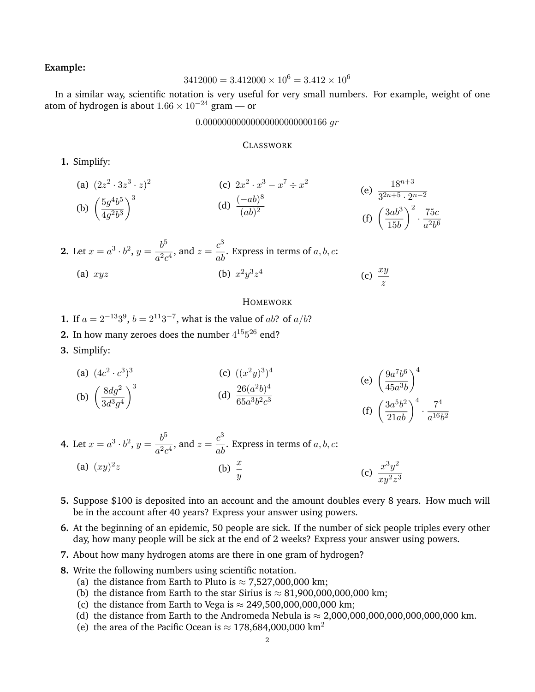# **Example:**

$$
3412000 = 3.412000 \times 10^6 = 3.412 \times 10^6
$$

In a similar way, scientific notation is very useful for very small numbers. For example, weight of one atom of hydrogen is about  $1.66 \times 10^{-24}$  gram — or

## 0*.*00000000000000000000000166 *gr*

### **CLASSWORK**

**1.** Simplify:

(a) 
$$
(2z^2 \cdot 3z^3 \cdot z)^2
$$
  
\n(b)  $\left(\frac{5g^4b^5}{4g^2b^3}\right)^3$   
\n(c)  $2x^2 \cdot x^3 - x^7 \div x^2$   
\n(d)  $\frac{(-ab)^8}{(ab)^2}$   
\n(e)  $\frac{18^{n+3}}{3^{2n+5} \cdot 2^{n-2}}$   
\n(f)  $\left(\frac{3ab^3}{15b}\right)^2 \cdot \frac{75c}{a^2b^6}$ 

2. Let 
$$
x = a^3 \cdot b^2
$$
,  $y = \frac{b^5}{a^2 c^4}$ , and  $z = \frac{c^3}{ab}$ . Express in terms of *a*, *b*, *c*:  
\n(a)  $xyz$  (b)  $x^2 y^3 z^4$  (c)  $\frac{xy}{z}$ 

### HOMEWORK

- **1.** If  $a = 2^{-13}3^9$ ,  $b = 2^{11}3^{-7}$ , what is the value of *ab*? of *a/b*?
- **2.** In how many zeroes does the number  $4^{15}5^{26}$  end?
- **3.** Simplify:

(a) 
$$
(4c^2 \cdot c^3)^3
$$
  
\n(b)  $\left(\frac{8dg^2}{3d^3g^4}\right)^3$   
\n(c)  $((x^2y)^3)^4$   
\n(d)  $\frac{26(a^2b)^4}{65a^3b^2c^3}$   
\n(e)  $\left(\frac{9a^7b^6}{45a^3b}\right)^4$   
\n(f)  $\left(\frac{3a^5b^2}{21ab}\right)^4 \cdot \frac{7^4}{a^{16}b^2}$ 

**4.** Let 
$$
x = a^3 \cdot b^2
$$
,  $y = \frac{b^5}{a^2 c^4}$ , and  $z = \frac{c^3}{ab}$ . Express in terms of *a*, *b*, *c*:  
\n(a)  $(xy)^2 z$  (b)  $\frac{x}{y}$  (c)  $\frac{x^3 y^2}{x^{3/2}}$ 

- **5.** Suppose \$100 is deposited into an account and the amount doubles every 8 years. How much will be in the account after 40 years? Express your answer using powers.
- **6.** At the beginning of an epidemic, 50 people are sick. If the number of sick people triples every other day, how many people will be sick at the end of 2 weeks? Express your answer using powers.
- **7.** About how many hydrogen atoms are there in one gram of hydrogen?
- **8.** Write the following numbers using scientific notation.
	- (a) the distance from Earth to Pluto is  $\approx$  7,527,000,000 km;
	- (b) the distance from Earth to the star Sirius is  $\approx 81,900,000,000,000$  km;
	- (c) the distance from Earth to Vega is  $\approx$  249,500,000,000,000 km;
	- (d) the distance from Earth to the Andromeda Nebula is  $\approx 2,000,000,000,000,000,000$  km.
	- (e) the area of the Pacific Ocean is  $\approx 178,684,000,000$  km<sup>2</sup>